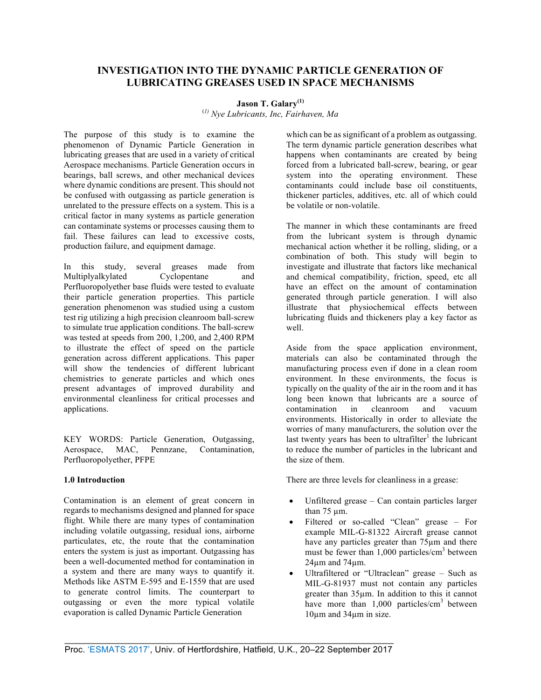# **INVESTIGATION INTO THE DYNAMIC PARTICLE GENERATION OF LUBRICATING GREASES USED IN SPACE MECHANISMS**

# **Jason T. Galary(1)**

(*1) Nye Lubricants, Inc, Fairhaven, Ma*

The purpose of this study is to examine the phenomenon of Dynamic Particle Generation in lubricating greases that are used in a variety of critical Aerospace mechanisms. Particle Generation occurs in bearings, ball screws, and other mechanical devices where dynamic conditions are present. This should not be confused with outgassing as particle generation is unrelated to the pressure effects on a system. This is a critical factor in many systems as particle generation can contaminate systems or processes causing them to fail. These failures can lead to excessive costs, production failure, and equipment damage.

In this study, several greases made from Multiplyalkylated Cyclopentane and Perfluoropolyether base fluids were tested to evaluate their particle generation properties. This particle generation phenomenon was studied using a custom test rig utilizing a high precision cleanroom ball-screw to simulate true application conditions. The ball-screw was tested at speeds from 200, 1,200, and 2,400 RPM to illustrate the effect of speed on the particle generation across different applications. This paper will show the tendencies of different lubricant chemistries to generate particles and which ones present advantages of improved durability and environmental cleanliness for critical processes and applications.

KEY WORDS: Particle Generation, Outgassing, Aerospace, MAC, Pennzane, Contamination, Perfluoropolyether, PFPE

# **1.0 Introduction**

Contamination is an element of great concern in regards to mechanisms designed and planned for space flight. While there are many types of contamination including volatile outgassing, residual ions, airborne particulates, etc, the route that the contamination enters the system is just as important. Outgassing has been a well-documented method for contamination in a system and there are many ways to quantify it. Methods like ASTM E-595 and E-1559 that are used to generate control limits. The counterpart to outgassing or even the more typical volatile evaporation is called Dynamic Particle Generation

which can be as significant of a problem as outgassing. The term dynamic particle generation describes what happens when contaminants are created by being forced from a lubricated ball-screw, bearing, or gear system into the operating environment. These contaminants could include base oil constituents, thickener particles, additives, etc. all of which could be volatile or non-volatile.

The manner in which these contaminants are freed from the lubricant system is through dynamic mechanical action whether it be rolling, sliding, or a combination of both. This study will begin to investigate and illustrate that factors like mechanical and chemical compatibility, friction, speed, etc all have an effect on the amount of contamination generated through particle generation. I will also illustrate that physiochemical effects between lubricating fluids and thickeners play a key factor as well.

Aside from the space application environment, materials can also be contaminated through the manufacturing process even if done in a clean room environment. In these environments, the focus is typically on the quality of the air in the room and it has long been known that lubricants are a source of contamination in cleanroom and vacuum environments. Historically in order to alleviate the worries of many manufacturers, the solution over the last twenty years has been to ultrafilter<sup>1</sup> the lubricant to reduce the number of particles in the lubricant and the size of them.

There are three levels for cleanliness in a grease:

- Unfiltered grease Can contain particles larger than  $75 \mu m$ .
- Filtered or so-called "Clean" grease For example MIL-G-81322 Aircraft grease cannot have any particles greater than 75µm and there must be fewer than  $1,000$  particles/cm<sup>3</sup> between  $24\mu m$  and  $74\mu m$ .
- Ultrafiltered or "Ultraclean" grease Such as MIL-G-81937 must not contain any particles greater than 35µm. In addition to this it cannot have more than  $1,000$  particles/cm<sup>3</sup> between 10µm and 34µm in size.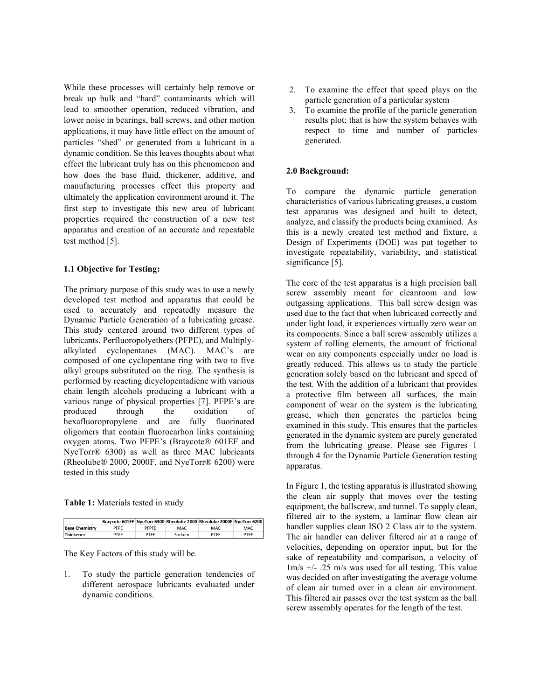While these processes will certainly help remove or break up bulk and "hard" contaminants which will lead to smoother operation, reduced vibration, and lower noise in bearings, ball screws, and other motion applications, it may have little effect on the amount of particles "shed" or generated from a lubricant in a dynamic condition. So this leaves thoughts about what effect the lubricant truly has on this phenomenon and how does the base fluid, thickener, additive, and manufacturing processes effect this property and ultimately the application environment around it. The first step to investigate this new area of lubricant properties required the construction of a new test apparatus and creation of an accurate and repeatable test method [5].

## **1.1 Objective for Testing:**

The primary purpose of this study was to use a newly developed test method and apparatus that could be used to accurately and repeatedly measure the Dynamic Particle Generation of a lubricating grease. This study centered around two different types of lubricants, Perfluoropolyethers (PFPE), and Multiplyalkylated cyclopentanes (MAC). MAC's are composed of one cyclopentane ring with two to five alkyl groups substituted on the ring. The synthesis is performed by reacting dicyclopentadiene with various chain length alcohols producing a lubricant with a various range of physical properties [7]. PFPE's are produced through the oxidation of hexafluoropropylene and are fully fluorinated oligomers that contain fluorocarbon links containing oxygen atoms. Two PFPE's (Braycote® 601EF and NyeTorr® 6300) as well as three MAC lubricants (Rheolube® 2000, 2000F, and NyeTorr® 6200) were tested in this study

#### **Table 1:** Materials tested in study

|                       |      |       |        | Braycote 601EF NyeTorr 6300 Rheolube 2000 Rheolube 2000F NyeTorr 6200 |      |
|-----------------------|------|-------|--------|-----------------------------------------------------------------------|------|
| <b>Base Chemistry</b> | PFPF | PFPFF | MAC    | MAC.                                                                  | MAC. |
| Thickener             | PTFF | PTFF  | Sodium | PTFF                                                                  | PTFF |

The Key Factors of this study will be.

1. To study the particle generation tendencies of different aerospace lubricants evaluated under dynamic conditions.

- 2. To examine the effect that speed plays on the particle generation of a particular system
- 3. To examine the profile of the particle generation results plot; that is how the system behaves with respect to time and number of particles generated.

# **2.0 Background:**

To compare the dynamic particle generation characteristics of various lubricating greases, a custom test apparatus was designed and built to detect, analyze, and classify the products being examined. As this is a newly created test method and fixture, a Design of Experiments (DOE) was put together to investigate repeatability, variability, and statistical significance [5].

The core of the test apparatus is a high precision ball screw assembly meant for cleanroom and low outgassing applications. This ball screw design was used due to the fact that when lubricated correctly and under light load, it experiences virtually zero wear on its components. Since a ball screw assembly utilizes a system of rolling elements, the amount of frictional wear on any components especially under no load is greatly reduced. This allows us to study the particle generation solely based on the lubricant and speed of the test. With the addition of a lubricant that provides a protective film between all surfaces, the main component of wear on the system is the lubricating grease, which then generates the particles being examined in this study. This ensures that the particles generated in the dynamic system are purely generated from the lubricating grease. Please see Figures 1 through 4 for the Dynamic Particle Generation testing apparatus.

In Figure 1, the testing apparatus is illustrated showing the clean air supply that moves over the testing equipment, the ballscrew, and tunnel. To supply clean, filtered air to the system, a laminar flow clean air handler supplies clean ISO 2 Class air to the system. The air handler can deliver filtered air at a range of velocities, depending on operator input, but for the sake of repeatability and comparison, a velocity of 1m/s +/- .25 m/s was used for all testing. This value was decided on after investigating the average volume of clean air turned over in a clean air environment. This filtered air passes over the test system as the ball screw assembly operates for the length of the test.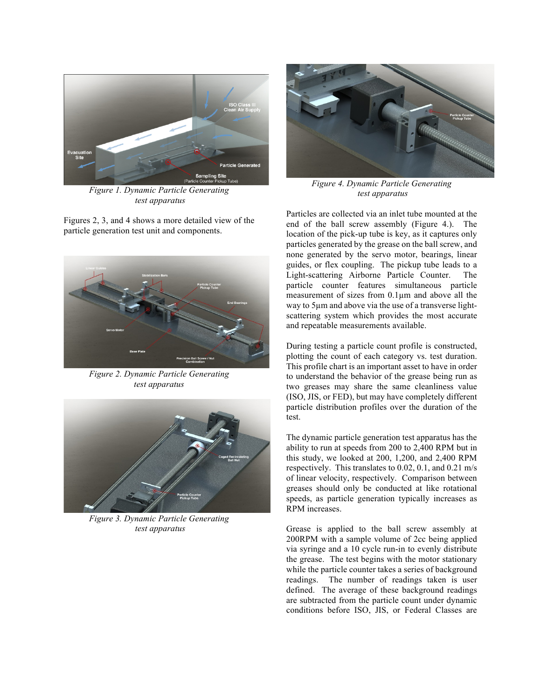

*Figure 1. Dynamic Particle Generating test apparatus*

Figures 2, 3, and 4 shows a more detailed view of the particle generation test unit and components.



*Figure 2. Dynamic Particle Generating test apparatus*



*Figure 3. Dynamic Particle Generating test apparatus*



*Figure 4. Dynamic Particle Generating test apparatus*

Particles are collected via an inlet tube mounted at the end of the ball screw assembly (Figure 4.). The location of the pick-up tube is key, as it captures only particles generated by the grease on the ball screw, and none generated by the servo motor, bearings, linear guides, or flex coupling. The pickup tube leads to a Light-scattering Airborne Particle Counter. The particle counter features simultaneous particle measurement of sizes from 0.1µm and above all the way to 5µm and above via the use of a transverse lightscattering system which provides the most accurate and repeatable measurements available.

During testing a particle count profile is constructed, plotting the count of each category vs. test duration. This profile chart is an important asset to have in order to understand the behavior of the grease being run as two greases may share the same cleanliness value (ISO, JIS, or FED), but may have completely different particle distribution profiles over the duration of the test.

The dynamic particle generation test apparatus has the ability to run at speeds from 200 to 2,400 RPM but in this study, we looked at 200, 1,200, and 2,400 RPM respectively. This translates to 0.02, 0.1, and 0.21 m/s of linear velocity, respectively. Comparison between greases should only be conducted at like rotational speeds, as particle generation typically increases as RPM increases.

Grease is applied to the ball screw assembly at 200RPM with a sample volume of 2cc being applied via syringe and a 10 cycle run-in to evenly distribute the grease. The test begins with the motor stationary while the particle counter takes a series of background readings. The number of readings taken is user defined. The average of these background readings are subtracted from the particle count under dynamic conditions before ISO, JIS, or Federal Classes are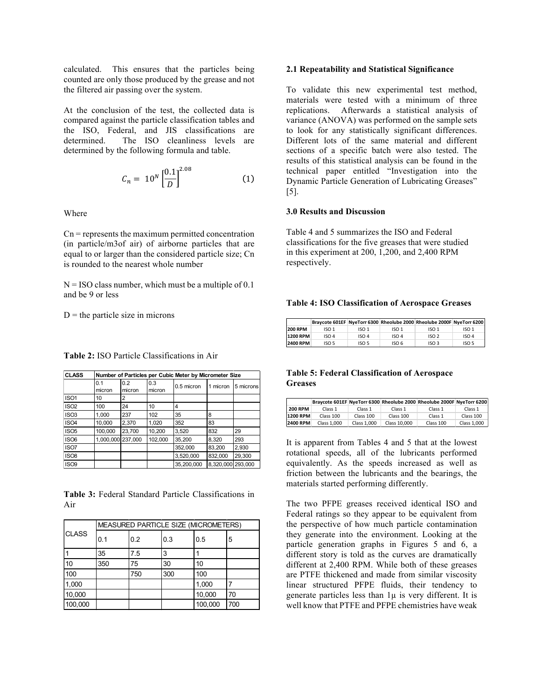calculated. This ensures that the particles being counted are only those produced by the grease and not the filtered air passing over the system.

At the conclusion of the test, the collected data is compared against the particle classification tables and the ISO, Federal, and JIS classifications are determined. The ISO cleanliness levels are determined by the following formula and table.

$$
C_n = 10^N \left[\frac{0.1}{D}\right]^{2.08} \tag{1}
$$

Where

 $Cn$  = represents the maximum permitted concentration (in particle/m3of air) of airborne particles that are equal to or larger than the considered particle size; Cn is rounded to the nearest whole number

 $N = ISO$  class number, which must be a multiple of 0.1 and be 9 or less

 $D$  = the particle size in microns

| <b>CLASS</b>     |           | Number of Particles per Cubic Meter by Micrometer Size |         |            |                   |           |  |  |
|------------------|-----------|--------------------------------------------------------|---------|------------|-------------------|-----------|--|--|
|                  | 0.1       | 0.2                                                    | 0.3     |            | 1 micron          | 5 microns |  |  |
|                  | micron    | micron                                                 | micron  | 0.5 micron |                   |           |  |  |
| ISO <sub>1</sub> | 10        | 2                                                      |         |            |                   |           |  |  |
| ISO <sub>2</sub> | 100       | 24                                                     | 10      | 4          |                   |           |  |  |
| ISO <sub>3</sub> | 1,000     | 237                                                    | 102     | 35         | 8                 |           |  |  |
| ISO <sub>4</sub> | 10,000    | 2,370                                                  | 1,020   | 352        | 83                |           |  |  |
| ISO <sub>5</sub> | 100,000   | 23.700                                                 | 10,200  | 3.520      | 832               | 29        |  |  |
| ISO <sub>6</sub> | 1,000,000 | 237.000                                                | 102,000 | 35.200     | 8,320             | 293       |  |  |
| ISO7             |           |                                                        |         | 352,000    | 83,200            | 2,930     |  |  |
| ISO <sub>8</sub> |           |                                                        |         | 3,520,000  | 832,000           | 29,300    |  |  |
| ISO <sub>9</sub> |           |                                                        |         | 35.200.000 | 8,320,000 293,000 |           |  |  |

**Table 2:** ISO Particle Classifications in Air

**Table 3:** Federal Standard Particle Classifications in Air

| <b>CLASS</b> | MEASURED PARTICLE SIZE (MICROMETERS) |     |     |         |     |  |
|--------------|--------------------------------------|-----|-----|---------|-----|--|
|              | 0.1                                  | 0.2 | 0.3 | 0.5     | 5   |  |
|              | 35                                   | 7.5 | 3   |         |     |  |
| 10           | 350                                  | 75  | 30  | 10      |     |  |
| 100          |                                      | 750 | 300 | 100     |     |  |
| 1,000        |                                      |     |     | 1,000   |     |  |
| 10,000       |                                      |     |     | 10,000  | 70  |  |
| 100,000      |                                      |     |     | 100,000 | 700 |  |

#### **2.1 Repeatability and Statistical Significance**

To validate this new experimental test method, materials were tested with a minimum of three replications. Afterwards a statistical analysis of variance (ANOVA) was performed on the sample sets to look for any statistically significant differences. Different lots of the same material and different sections of a specific batch were also tested. The results of this statistical analysis can be found in the technical paper entitled "Investigation into the Dynamic Particle Generation of Lubricating Greases" [5].

#### **3.0 Results and Discussion**

Table 4 and 5 summarizes the ISO and Federal classifications for the five greases that were studied in this experiment at 200, 1,200, and 2,400 RPM respectively.

#### **Table 4: ISO Classification of Aerospace Greases**

|                 |       |                  |                  | Braycote 601EF NyeTorr 6300 Rheolube 2000 Rheolube 2000F NyeTorr 6200 |                  |
|-----------------|-------|------------------|------------------|-----------------------------------------------------------------------|------------------|
| <b>200 RPM</b>  | ISO 1 | ISO <sub>1</sub> | ISO <sub>1</sub> | ISO <sub>1</sub>                                                      | ISO 1            |
| <b>1200 RPM</b> | ISO 4 | ISO 4            | ISO 4            | ISO <sub>2</sub>                                                      | ISO 4            |
| 2400 RPM        | ISO 5 | ISO 5            | ISO 6            | ISO <sub>3</sub>                                                      | ISO <sub>5</sub> |

## **Table 5: Federal Classification of Aerospace Greases**

|                 |             |             |              | Braycote 601EF NyeTorr 6300 Rheolube 2000 Rheolube 2000F NyeTorr 6200 |             |
|-----------------|-------------|-------------|--------------|-----------------------------------------------------------------------|-------------|
| <b>200 RPM</b>  | Class 1     | Class 1     | Class 1      | Class <sub>1</sub>                                                    | Class 1     |
| <b>1200 RPM</b> | Class 100   | Class 100   | Class 100    | Class <sub>1</sub>                                                    | Class 100   |
| <b>2400 RPM</b> | Class 1.000 | Class 1.000 | Class 10.000 | Class 100                                                             | Class 1.000 |

It is apparent from Tables 4 and 5 that at the lowest rotational speeds, all of the lubricants performed equivalently. As the speeds increased as well as friction between the lubricants and the bearings, the materials started performing differently.

The two PFPE greases received identical ISO and Federal ratings so they appear to be equivalent from the perspective of how much particle contamination they generate into the environment. Looking at the particle generation graphs in Figures 5 and 6, a different story is told as the curves are dramatically different at 2,400 RPM. While both of these greases are PTFE thickened and made from similar viscosity linear structured PFPE fluids, their tendency to generate particles less than  $1\mu$  is very different. It is well know that PTFE and PFPE chemistries have weak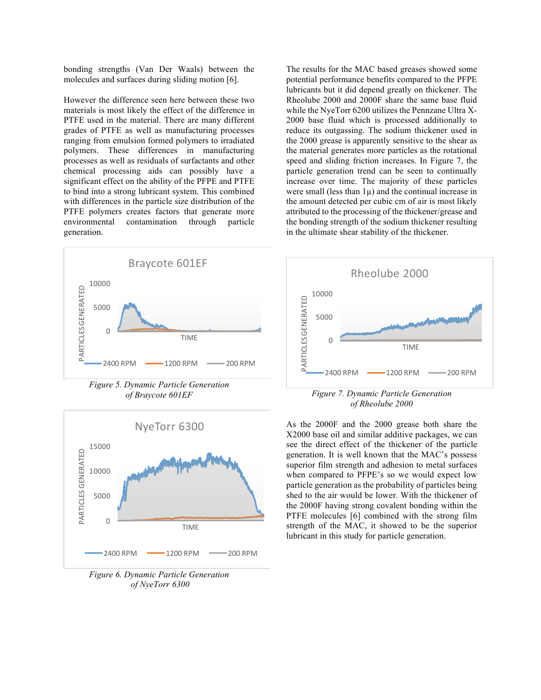bonding strengths (Van Der Waals) between the molecules and surfaces during sliding motion [6].

However the difference seen here between these two materials is most likely the effect of the difference in PTFE used in the material. There are many different grades of PTFE as well as manufacturing processes ranging from emulsion formed polymers to irradiated polymers. These differences in manufacturing processes as well as residuals of surfactants and other chemical processing aids can possibly have a significant effect on the ability of the PFPE and PTFE to bind into a strong lubricant system. This combined with differences in the particle size distribution of the PTFE polymers creates factors that generate more environmental contamination through particle generation.



*Figure 5. Dynamic Particle Generation of Braycote 601EF*



*Figure 6. Dynamic Particle Generation of NyeTorr 6300*

The results for the MAC based greases showed some potential performance benefits compared to the PFPE lubricants but it did depend greatly on thickener. The Rheolube 2000 and 2000F share the same base fluid while the NyeTorr 6200 utilizes the Pennzane Ultra X-2000 base fluid which is processed additionally to reduce its outgassing. The sodium thickener used in the 2000 grease is apparently sensitive to the shear as the material generates more particles as the rotational speed and sliding friction increases. In Figure 7, the particle generation trend can be seen to continually increase over time. The majority of these particles were small (less than 1µ) and the continual increase in the amount detected per cubic cm of air is most likely attributed to the processing of the thickener/grease and the bonding strength of the sodium thickener resulting in the ultimate shear stability of the thickener.



*Figure 7. Dynamic Particle Generation of Rheolube 2000*

As the 2000F and the 2000 grease both share the X2000 base oil and similar additive packages, we can see the direct effect of the thickener of the particle generation. It is well known that the MAC's possess superior film strength and adhesion to metal surfaces when compared to PFPE's so we would expect low particle generation as the probability of particles being shed to the air would be lower. With the thickener of the 2000F having strong covalent bonding within the PTFE molecules [6] combined with the strong film strength of the MAC, it showed to be the superior lubricant in this study for particle generation.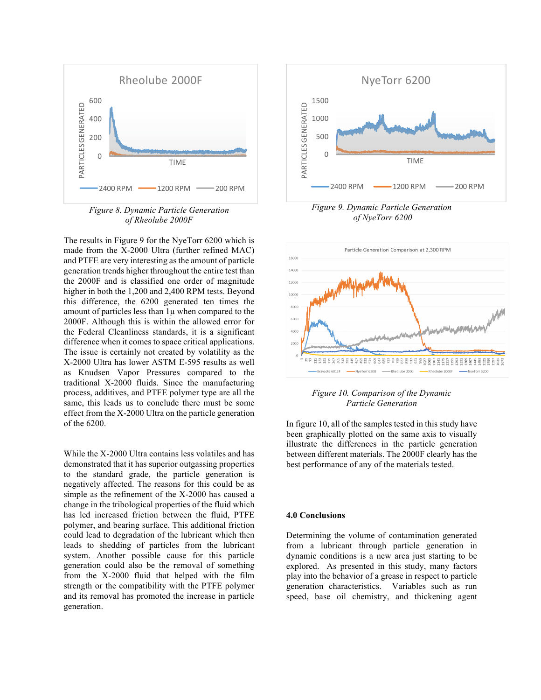

*Figure 8. Dynamic Particle Generation of Rheolube 2000F*

The results in Figure 9 for the NyeTorr 6200 which is made from the X-2000 Ultra (further refined MAC) and PTFE are very interesting as the amount of particle generation trends higher throughout the entire test than the 2000F and is classified one order of magnitude higher in both the 1,200 and 2,400 RPM tests. Beyond this difference, the 6200 generated ten times the amount of particles less than  $1\mu$  when compared to the 2000F. Although this is within the allowed error for the Federal Cleanliness standards, it is a significant difference when it comes to space critical applications. The issue is certainly not created by volatility as the X-2000 Ultra has lower ASTM E-595 results as well as Knudsen Vapor Pressures compared to the traditional X-2000 fluids. Since the manufacturing process, additives, and PTFE polymer type are all the same, this leads us to conclude there must be some effect from the X-2000 Ultra on the particle generation of the 6200.

While the X-2000 Ultra contains less volatiles and has demonstrated that it has superior outgassing properties to the standard grade, the particle generation is negatively affected. The reasons for this could be as simple as the refinement of the X-2000 has caused a change in the tribological properties of the fluid which has led increased friction between the fluid, PTFE polymer, and bearing surface. This additional friction could lead to degradation of the lubricant which then leads to shedding of particles from the lubricant system. Another possible cause for this particle generation could also be the removal of something from the X-2000 fluid that helped with the film strength or the compatibility with the PTFE polymer and its removal has promoted the increase in particle generation.



*Figure 9. Dynamic Particle Generation of NyeTorr 6200*



*Figure 10. Comparison of the Dynamic Particle Generation* 

In figure 10, all of the samples tested in this study have been graphically plotted on the same axis to visually illustrate the differences in the particle generation between different materials. The 2000F clearly has the best performance of any of the materials tested.

#### **4.0 Conclusions**

Determining the volume of contamination generated from a lubricant through particle generation in dynamic conditions is a new area just starting to be explored. As presented in this study, many factors play into the behavior of a grease in respect to particle generation characteristics. Variables such as run speed, base oil chemistry, and thickening agent